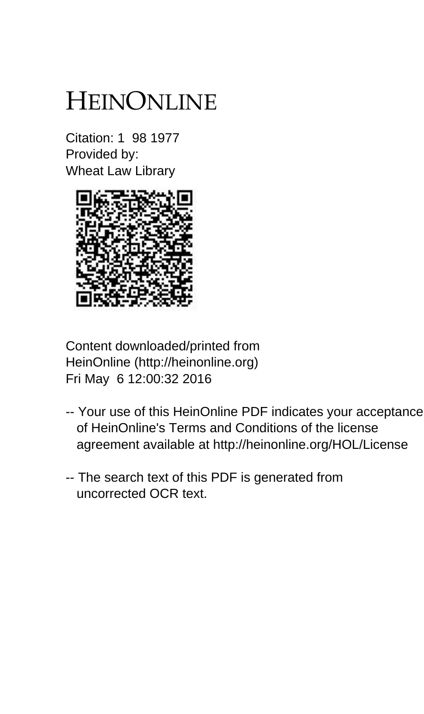## HEINONLINE

Citation: 1 98 1977 Provided by: Wheat Law Library



Content downloaded/printed from HeinOnline (http://heinonline.org) Fri May 6 12:00:32 2016

- -- Your use of this HeinOnline PDF indicates your acceptance of HeinOnline's Terms and Conditions of the license agreement available at http://heinonline.org/HOL/License
- -- The search text of this PDF is generated from uncorrected OCR text.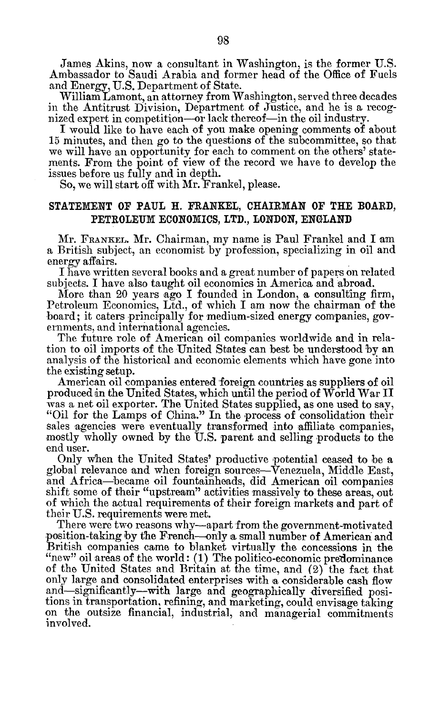James Akins, now a consultant in Washington, is the former **U.S.** Ambassador to Saudi Arabia and former head of the Office of Fuels and Energy, **U.S.** Department of State.

William Lamont, an attorney from Washington, served three decades in the Antitrust Division, Department of Justice, and he is a recognized expert in competition—or lack thereof—in the oil industry.

I would like to have each of you make opening comments of about **15** minutes, and then go to the questions of the subcommittee, so that we will have an opportunity for each to comment on the others' statements. From the point of view of the record we have to develop the issues before us fully and in depth.

**So,** we will start off with Mr. Frankel, please.

## **STATEMENT** OF **PAUL** H. FRANKEL, **CHAIRMAN** OF THE BOARD, PETROLEUM **ECONOMICS,** LTD., **LONDON, ENGLAND**

Mr. **FRANKEL.** Mr. Chairman, my name is Paul Frankel and I am a British subject, an economist **by** profession, specializing in oil and energy affairs.

I have written several books and a great number of papers on related subjects. I have also taught oil economics in America and abroad.

More than 20 years ago I founded in London, a consulting firm, Petroleum Economics, Ltd., of which **I** am now the chairman of the board; it caters principally for medium-sized energy companies, governments, and international agencies.

The future role of American oil companies worldwide and in relation to oil imports of the United States can best be understood **by** an analysis of the historical and economic elements which have gone into the existing setup.

American oil companies entered foreign countries as suppliers of oil produced in the United States, which until the period of World War II was a net oil exporter. The United States supplied, as one used to say, "Oil for the Lamps of China." In the process of consolidation their sales agencies were eventually transformed into affiliate companies, mostly wholly owned **by** the **U.S.** parent and selling products to the end user.

Only when the United States' productive potential ceased to be **a** global relevance and when foreign sources-Venezuela, Middle East, and Africa-became oil fountainheads, did American oil companies shift some of their "upstream" activities massively to these areas, out of which the actual requirements of their foreign markets and part of their **U.S.** requirements were met.

There were two reasons why—apart from the government-motivated position-taking **by** the French-only a small number of American and British companies came to blanket virtually the concessions in the "new" oil areas of the world: **(1)** The politico-economic predominance of the United States and Britain at the time, and (2) the fact that only large and consolidated enterprises with a considerable cash flow and-significantly-with large and geographically diversified positions in transportation, refining, and marketing, could envisage taking on the outsize financial, industrial, and managerial commitments involved.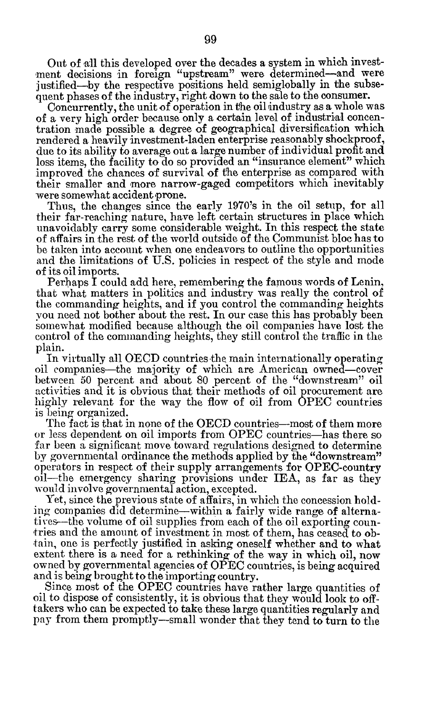Out of all this developed over the decades a system in which investment decisions in foreign "upstream" were determined-and were justified-by the respective positions held semiglobally in the subsequent phases of the industry, right down to the sale to the consumer.

Concurrently, the unit **of** operation in the oil industry as a whole was of a very high order because only a certain level of industrial concentration made possible a degree of geographical diversification which rendered a heavily investment-laden enterprise reasonably shockproof, due to its ability to average out a large number of individual profit and loss items, the facility to do so provided an "insurance element" which improved the chances of survival of the enterprise as compared with their smaller and more narrow-gaged competitors which inevitably were somewhat accident prone.

Thus, the changes since the early 1970's in the oil setup, for all their far-reaching nature, have left certain structures in place which unavoidably carry some considerable weight. In this respect the state of affairs in the rest of the world outside of the Communist bloc has to be taken into account when one endeavors to outline the opportunities and the limitations of **U.S.** policies in respect of the style and mode of its oil imports.

Perhaps I could add here, remembering the famous words of Lenin, that what matters in politics and industry was really the control of the commanding heights, and if you control the commanding heights you need not bother about the rest. In our case this has probably been somewhat modified because although the oil companies have lost the control of the commanding heights, they still control the traffic in the plain.

In virtually all **OECD** countries the main internationally operating oil companies-the majority of which are American owned-cover between **50** percent and about **80** percent of the "downstream" oil activities and it is obvious that their methods of oil procurement are highly relevant for the way the flow of oil from **OPEC** countries is being organized.

The fact is that in none of the **OECD** countries-most of them more or less dependent on oil imports from **OPEC** countries-has there so far been a significant move toward regulations designed to determine **by** governmental ordinance the methods applied **by** the "downstream" operators in respect of their supply arrangements for OPEC-country oil-the emergency sharing provisions under IEA, as far as they would involve governmental action, excepted.

Yet, since the previous state of affairs, in which the concession holding companies did determine-within a fairly wide range of alternatives-the volume of oil supplies from each of the oil exporting countries and the amount of investment in most of them, has ceased to obtain, one is perfectly justified in asking oneself whether and to what extent there is a need for a rethinking of the way in which oil, now owned **by** governmental agencies of **OPEC** countries, is being acquired and is being brought to the importing country.

Since most of the **OPEC** countries have rather large quantities of oil to dispose of consistently, it is obvious that they would look to offtakers who can be expected to take these large quantities regularly and **pay** from them promptly-small wonder that they tend to turn to the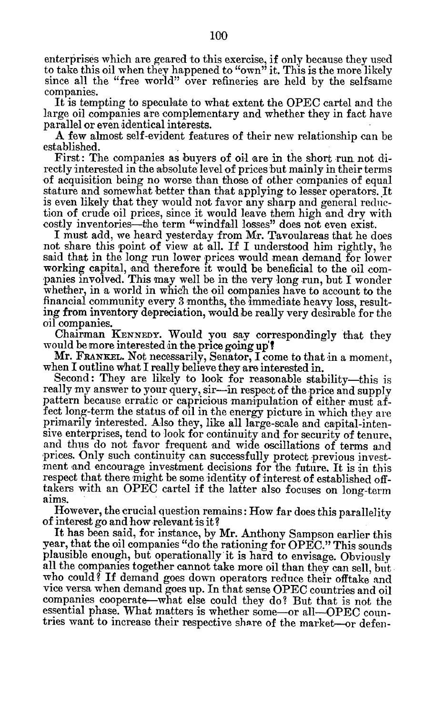enterprises which are geared to this exercise, if only because they used to take this oil when they happened to "own" it. This is the more likely since all the "free world" over refineries are held **by** the selfsame companies.

It is tempting to speculate to what extent the **OPEC** cartel and the large oil companies are complementary and whether they in fact have parallel or even identical interests.

**A** few almost self-evident features of their new relationship can be established.

First: The companies as buyers of oil are in the short run not directly interested in the absolute level of prices but mainly in their terms of acquisition being no worse than those of other companies of equal stature and somewhat better than that applying to lesser operators. It is even likely that they would not favor any sharp and general reduction of crude oil prices, since it would leave them high and dry with costly inventories—the term "windfall losses" does not even exist.

I must add, we heard yesterday from Mr. Tavoulareas that he does not share this point of view at all. If I understood him rightly, he said that in the long run lower prices would mean demand for lower working capital, and therefore it would be beneficial to the oil companies involved. This may well be in the very long run, but I wonder whether, in a world in which the oil companies have to account to the financial community every **3** months, the immediate heavy loss, resulting from inventory depreciation, would be really very desirable for the oil companies.

Chairman **KENNEDY.** Would you say correspondingly that they would be more interested in the price going up!

Mr. **FRANKEL.** Not necessarily, Senator, I come to that in a moment, when I outline what I really believe they are interested in.

Second: They are likely to look for reasonable stability—this is really my answer to your query, sir-in respect of the price and supply pattern because erratic or capricious manipulation of either must affect long-term the status of oil in the energy picture in which they are primarily interested. Also they, like all large-scale and capital-intensive enterprises, tend to look for continuity and for security of tenure, and thus do not favor frequent and wide oscillations of terms and prices. Only such continuity can successfully protect previous investment and encourage investment decisions for the future. It is in this respect that there might be some identity of interest of established offtakers with an **OPEC** cartel if the latter also focuses on long-term aims.

However, the crucial question remains: How far does this parallelity of interest go and how relevant is it?

It has been said, for instance, **by** Mr. Anthony Sampson earlier this year, that the oil companies "do the rationing for **OPEC."** This sounds plausible enough, but operationally 'it is hard to envisage. Obviously all the companies together cannot take more oil than they can sell, but who could? **If** demand goes down operators reduce their offtake and vice versa when demand goes up. In that sense **OPEC** countries and oil companies cooperate-what else could they do? But that is not the essential phase. What matters is whether some-or all--OPEC countries want to increase their respective share of the market-or defen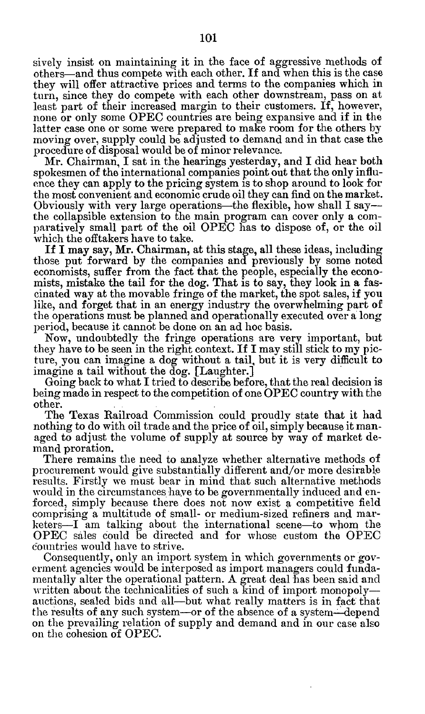sively insist on maintaining it in the face of aggressive methods of others-and thus compete with each other. **If** and when this is the case they will offer attractive prices and terms to the companies which in turn, since they do compete with each other downstream, pass on at least part of their increased margin to their customers. If, however, none or only some **OPEC** countries are being expansive and if in the latter case one or some were prepared to make room for the others **by** moving over, supply could be adjusted to demand and in that case the procedure of disposal would be of minor relevance.

Mr. Chairman, I sat in the hearings yesterday, and **I** did hear both spokesmen of the international companies point out that the only influence they can apply to the pricing system is to shop around to look for the most convenient and economic crude oil they can find on the market. Obviously with very large operations-the flexible, how shall **I** saythe collapsible extension to the main program can cover only a comparatively small part of the oil **OPEC** has to dispose of, or the oil which the offtakers have to take.

If I may say, Mr. Chairman, at this stage, all these ideas, including those put forward **by** the companies and previously **by** some noted economists, suffer from the fact that the people, especially the economists, mistake the tail for the dog. That is to say, they look in a fascinated way at the movable fringe of the market, the spot sales, if **you** like, and forget that in an energy industry the overwhelming part of the operations must be planned and operationally executed over a long period, because it cannot be done on an ad hoc basis.

**Now,** undoubtedly the fringe operations are very important, but they have to be seen in the right context. **If** I may still stick to my picture, you can imagine a dog without a tail, but it is very difficult to imagine a tail without the dog. [Laughter.]

Going back to what I tried to describe before, that the real decision is being made in respect to the competition of one **OPEC** country with the other.

The Texas Railroad Commission could proudly state that it had nothing to do with oil trade and the price of oil, simply because it managed to adjust the volume of supply at source **by** way of market demand proration.

There remains the need to analyze whether alternative methods of procurement would give substantially different and/or more desirable results. Firstly we must bear in mind that such alternative methods would in the circumstances have to be governmentally induced and enforced, simply because there does not now exist a competitive field comprising a multitude of small- or medium-sized refiners and marketers-I am talking about the international scene-to whom the **OPEC** sales could **be** directed and for whose custom the **OPEC** countries would have to strive.

Consequently, only an import system in which governments **or** *gov*erment agencies would be interposed as import managers could fundamentally alter the operational pattern. **A** great deal has been said and written about the technicalities of such a kind of import monopolyauctions, sealed bids and all-but what really matters is in fact that the results of any such system—or of the absence of a system—depend on the prevailing relation of supply and demand and in our case also on the cohesion of **OPEC.**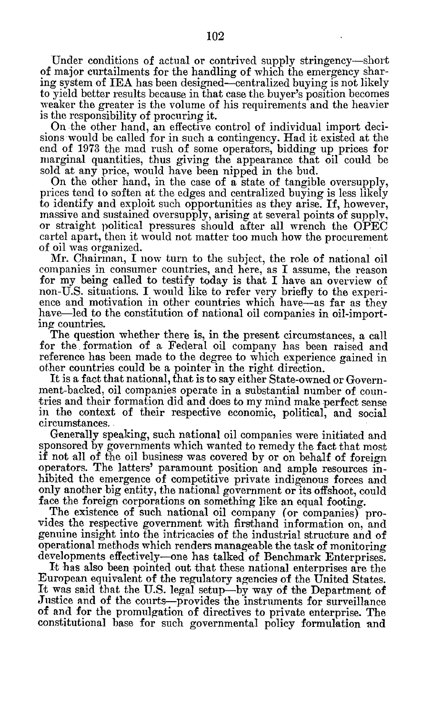Under conditions of actual or contrived supply stringency-short of major curtailments for the handling of which the emergency sharing system of IEA has been designed-centralized buying is not likely to yield better results because in that case the buyer's position becomes weaker the greater is the volume of his requirements and the heavier is the responsibility of procuring it.

On the other hand, an effective control of individual import decisions would be called for in such a contingency. Had it existed at the end of **1973** the mad rush of some operators, bidding up prices for marginal quantities, thus giving the appearance that oil could be sold at any price, would have been nipped in the bud.

On the other hand, in the case of a state of tangible oversupply, prices tend to soften at the edges and centralized buying is less likely to identify and exploit such opportunities as they arise. **If,** however, massive and sustained oversupply, arising at several points of supply, or straight political pressures should after all wrench the **OPEC** cartel apart, then it would not matter too much how the procurement of oil was organized.

Mr. Chairman, I now turn to the subject, the role of national oil companies in consumer countries, and here, as I assume, the reason for my being called to testify today is that I have an overview of non-U.S. situations. I would like to refer very briefly to the experience and motivation in other countries which have—as far as they have-led to the constitution of national oil companies in oil-importing countries.

The question whether there is, in the present circumstances, a call for the formation of a Federal oil company has been raised and reference has been made to the degree to which experience gained in other countries could be a pointer in the right direction.

It is a fact that national, that is to say either State-owned or Government-backed, oil companies operate in a substantial number of countries and their formation did and does to my mind make perfect sense in the context of their respective economic, political, and social circumstances..

Generally speaking, such national oil companies were initiated and sponsored **by** governments which wanted to remedy the fact that most if not all of the oil business was covered **by** or on behalf of foreign operators. The latters' paramount position and ample resources inhibited the emergence of competitive private indigenous forces and only another big entity, the national government or its offshoot, could face the foreign corporations on something like an equal footing.

The existence of such national oil company (or companies) provides the respective government with firsthand information on, and genuine insight into the intricacies of the industrial structure and of operational methods which renders manageable the task of monitoring developments effectively--one has talked of Benchmark Enterprises.

It has also been pointed out that these national enterprises are the European equivalent of the regulatory agencies of the United States. It was said that the **U.S.** legal setup-by way **of** the Department of Justice and of the courts-provides the instruments for surveillance of and for the promulgation of directives to private enterprise. The constitutional base for such governmental policy formulation and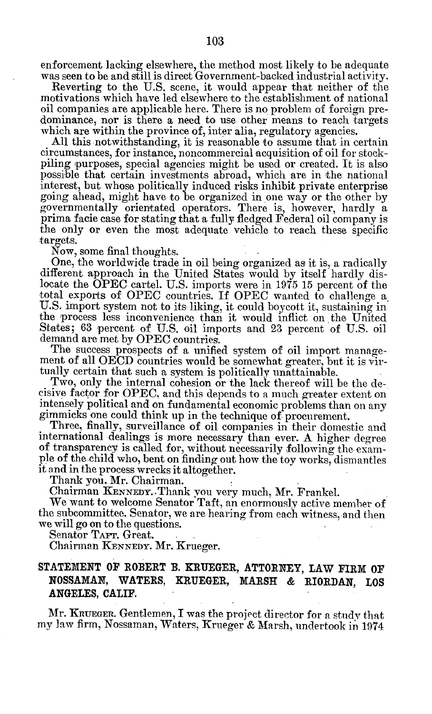enforcement lacking elsewhere, the method most likely to be adequate was seen to be and still is direct Government-backed industrial activity.

Reverting to the **U.S.** scene, it would appear that neither of the motivations which have led elsewhere to the establishment of national oil companies are applicable here. There is no problem of foreign predominance, nor is there a need to use other means to reach targets which are within the province of, inter alia, regulatory agencies.

**All** this notwithstanding, it is reasonable to assume that in certain circumstances, for instance, noncommercial Rcquisition of oil **for** stockpiling purposes, special agencies might be used or created. It is also possible that certain investments abroad, which are in the national interest, but whose politically induced risks inhibit private enterprise going ahead, might have to be organized in one way or the other **by** governmentally orientated operators. There is, however, hardly a prima facie case for stating that a fully fledged Federal oil company is the only or even the most adequate vehicle to reach these specific targets.

Now, some final thoughts.

One, the worldwide trade in oil being organized as it is, a radically different approach in the United States would **by** itself hardly dislocate the **OPEC** cartel. **U.S.** imports were in **1975 15** percent of the total exports of **OPEC** countries. If **OPEC** wanted to challenge a **U.S.** import system not to its liking, it could boycott it, sustaining in the process less inconvenience than it would inflict on. the United States; **63** percent of **U.S.** oil imports and **23** percent of **U.S.** oil demand are met **by OPEC** countries.

The success prospects of a unified system of oil import management **of** all **OECD** countries would be somewhat greater, but it is virtually certain that such a system is politically unattainable.

Two, only the internal cohesion or the lack thereof will **be** the decisive factor for **OPEC,** and this depends to a much greater extent on intensely political and on fundamental economic problems than on any gimmicks one could think up in the technique of procurement.

Three, finally, surveillance of oil companies in their domestic and international dealings is more necessary than ever. **A** higher degree of transparency is called for, without necessarily following the example of the child who, bent on finding out how the toy works, dismantles **it** and in the process wrecks it altogether.

Thank you, Mr. Chairman.

Chairman **KENNEDY.** .Thank you very much, Mr. Frankel.

We want to welcome Senator Taft, an enormously active member of the subcommittee. Senator, we are hearing from each witness, and then we will go on to the questions.

Senator TAFT. Great.

Chairman **KENNEDY.** Mr. Krueger.

## **STATEMENT** OF ROBERT **B.** KRUEGER, **ATTORNEY, LAW FIRM OF NOSSAMAN, WATERS, KRUEGER, MARSH & RIORDAN, LOS ANGELES, CALIF.**

Mr. KRUEGER. Gentlemen, T was the project director for a study that my law firm, Nossaman, Waters, Krueger **&** Marsh, undertook in 1974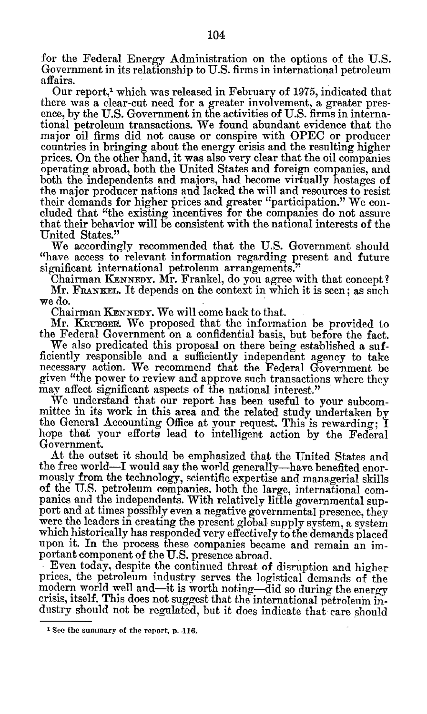for the Federal Energy Administration on the options of the **U.S.** Government in its relationship to **U.S.** firms in international petroleum affairs.

Our report,' which was released in February of **1975,** indicated that there was a clear-cut need for a greater involvement, a greater presence, **by** the **U.S.** Government in the activities of **U.S.** firms in international petroleum transactions. We found abundant evidence that the major oil firms did not cause or conspire with **OPEC** or producer countries in bringing about the energy crisis and the resulting higher prices. On the other hand, it was also very clear that the oil companies operating abroad, both the United States and foreign companies, and both the independents and majors, had become virtually hostages of the major producer nations and lacked the will and resources to resist their demands for higher prices and greater "participation." We concluded that "the existing incentives for the companies do not assure that their behavior will be consistent with the national interests of the United States."

We accordingly recommended that the **U.S.** Government should "have access to relevant information regarding present and future significant international petroleum arrangements."

Chairman **KENNEDY.** Mr. Frankel, do you agree with that concept? Mr. FRANKEL. It depends on the context in which it is seen; as such we do.

Chairman **KENNEDY.** We will come back to that.

Mr. KRUEGER. We proposed that the information be provided to the Federal Government on a confidential basis, but before the fact.

We also predicated this proposal on there being established a sufficiently responsible and a sufficiently independent agency to take necessary action. We recommend that the Federal Government be given "the power to review and approve such transactions where they may affect significant aspects of the national interest."

We understand that our report has been useful to your subcommittee in its work in this area and the related study undertaken **by** the General Accounting Office at your request. This is rewarding; **I** hope that your efforts lead to intelligent action **by** the Federal Government.

At the outset it should be emphasized that the United States and the free world—I would say the world generally—have benefited enormously from the technology, scientific expertise and managerial skills of the **U.S.** petroleum companies, both the large, international companies and the independents. With relatively little governmental support and at times possibly even a negative governmental presence, they were the leaders in creating the present global supply system, a system which historically has responded very effectively **to** the demands placed upon it. In the process these companies became and remain an important component of the **U.S.** presence abroad.

Even today, despite the continued threat of disruption and higher prices, the petroleum industry serves the logistical- demands of the modern world well and-it is worth noting-did so during the energy crisis, itself. This does not suggest that the international petroleum industry should not be regulated, but it does indicate that care should

**I See the summary of the report, p.,116.**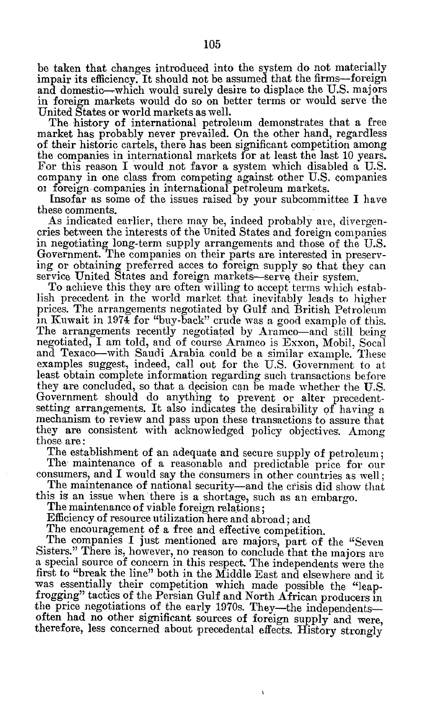be taken that changes introduced into the system do not materially impair its efficiency. It should not be assumed that the firms-foreign and domestic-which would surely desire to displace the **U.S.** majors in foreign markets would do so on better terms or would serve the United States or world markets as well.

The history of international petroleim demonstrates that a free market has probably never prevailed. On the other hand, regardless of their historic cartels, there has been significant competition among the companies in international markets for at least the last **10** years. For this reason I would .not favor a system which disabled a **U.S.** company in one class from competing against other **U.S.** companies or foreign. companies in international petroleum markets.

Insofar as some of the issues raised **by** your subcommittee I have these comments.

As indicated earlier, there may be, indeed probably are, divergencries between the interests of the United States and foreign companies in negotiating long-term supply arrangements and those of the **U.S.** Government. The companies on their parts are interested in preserving or obtaining preferred acces to foreign supply so that they can service United States and foreign markets-serve their system.

To achieve this they are often willing to accept terms which establish precedent in the world market that inevitably leads to higher prices. The arrangements negotiated **by** Gulf and British Petroleum in Kuwait in 1974 for "buy-back" crude was a good example of this. The arrangements recently negotiated **by** Aramco-and still being negotiated, I am told, and of course Aramco is Exxon, Mobil, Socal and Texaco-with Saudi Arabia could be a similar example. These examples suggest, indeed, call out for the **U.S.** Government to at least obtain complete information regarding such transactions before they are concluded, so that a decision can be made whether the **U.S.** Government should do anything to prevent or alter precedentsetting arrangements. It also indicates the desirability **of** having a mechanism to review and pass upon these transactions to assure that they are consistent with acknowledged policy objectives. Among those are:

The establishment of an adequate and secure supply of petroleum; The maintenance of a reasonable and predictable price for our

consumers, and I would say the consumers in other countries as well; The maintenance of national security—and the crisis did show that

this is an issue when there is a shortage, such as an embargo.

The maintenance of viable foreign relations;

Efficiency of resource utilization here and abroad; and

The encouragement of a free and effective competition.

The companies I just mentioned are majors, part of the "Seven Sisters." There is, however, no reason to conclude that the **majors are** a special source of concern in this respect. The independents were the first to "break the line" both in the Middle East and elsewhere and it was essentially their competition which made possible the "leapfrogging" tactics of the Persian Gulf and North African producers in the price negotiations of the early 1970s. They-the independentsoften had no other significant sources of foreign supply and were, therefore, less concerned about precedental effects. History strongly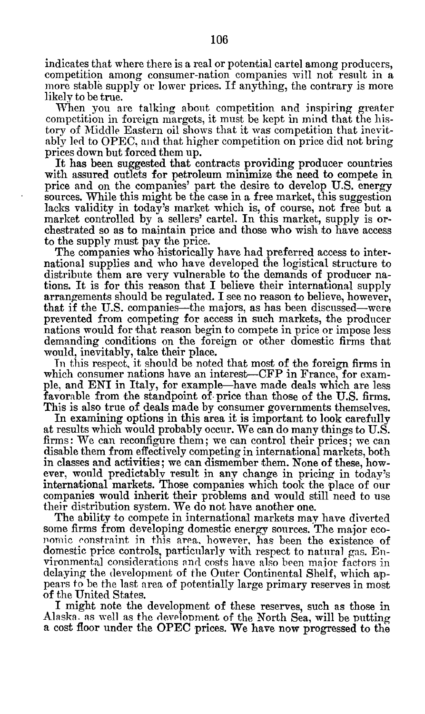indicates that where there is a real or potential cartel among producers, competition among consumer-nation companies will not result in a more stable supply or lower prices. If anything, the contrary is more likely to be true.

When you are talking about competition and inspiring greater competition in foreign margets, it must **be** kept in mind that the history of Middle Eastern oil shows that it was competition that inevit**ably** led to **OPEC.** and that higher competition on price did not bring prices down but forced them up.

It has been suggested that contracts providing producer countries with assured outlets for petroleum minimize the need to compete in price and on the companies' part the desire to develop **U.S.** energy sources. While this might be the case in a free market, this suggestion lacks validity in today's market which is, of course, not free but a market controlled **by** a sellers' cartel. In this market, supply is orchestrated so as to maintain price and those who wish to have access to the supply must pay the price.

The companies who historically have had preferred access to international supplies and who have developed the logistical structure to distribute them are very vulnerable to the demands of producer nations. It is for this reason that I believe their international supply arrangements should be regulated. I see no reason to believe, however, that if the U.S. companies—the majors, as has been discussed—were prevented from competing for access in such markets, the producer nations would for that reason begin to compete in price or impose less demanding conditions on the foreign or other domestic firms that would, inevitably, take their place.

Tn this respect, it should be noted that most of the foreign firms in which consumer nations have an interest-CFP in France, for example, and ENI in Italy, for example-have made deals which are less favorable from the standpoint of price than those of the U.S. firms. This is also true of deals made **by** consumer governments themselves.

In examining options in this area it is important to look carefully at results which would probably occur. We can do many things to **U.S.** firms: We can reconfigure them; we can control their prices; we can disable them from effectively competing in international markets, both in classes and activities; we can dismember them. None of these, however, would predictably result in any change in pricing in today's international markets. Those companies which took the place of our companies would inherit their problems and would still need to use their distribution system. We do not have another one.

The ability to compete in international markets may have diverted some firms from developing domestic energy sources. The major economic constraint in this area, however, has been the existence of domestic price controls, particularly with respect to natural gas. Environmental considerations and costs have also been major factors in delaying the development of the Outer Continental Shelf, which appears to be the last area of potentially large primary reserves in most **of** the United States.

I might note the development of these reserves, such as those in Alaska. as well as the development of the North Sea, will be putting a cost floor under the **OPEC** prices. We have now progressed to the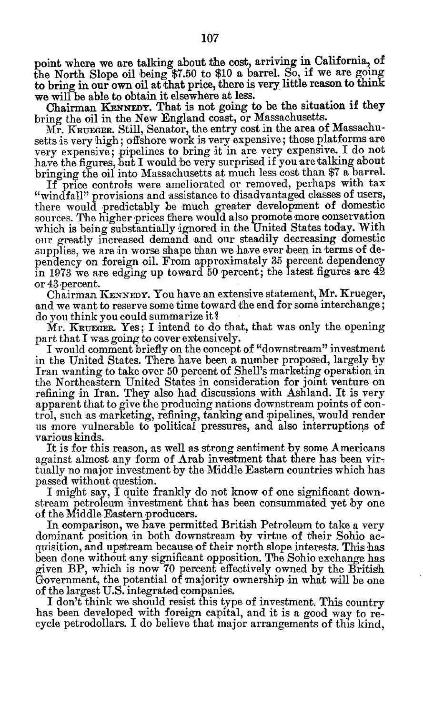point where we are talking about the cost, arriving in California, of the North Slope oil being **\$7.50** to **\$10** a barrel. So, if we are going to bring in our own oil at that price, there is very little reason to think we will be able to obtain it elsewhere at less.

Chairman KENNEDY. That is not going to be the situation if they bring the oil in the New England coast, or Massachusetts.

Mr. **KRUEGER.** Still, Senator, the entry cost in the area of Massachusetts is very high; offshore work is very expensive; those platforms are very expensive; pipelines to bring it in are very expensive. I do not have the figures, but I would be very surprised if you are talking about bringing the oil into Massachusetts at much less cost than **\$7** a barrel.

If price controls were ameliorated or removed, perhaps with tax "windfall" provisions and assistance to disadvantaged classes of users, there would predictably be much greater development of domestic sources. The higher prices there would also promote more conservation which is being substantially ignored in the United States today. With our greatly increased demand and our steadily decreasing domestic supplies, we are in worse shape than we have ever been in terms of dependency on foreign oil. From approximately **35** percent dependency in **1973** we are edging up toward **50** percent; the latest figures are 42 or 43 percent.

Chairman **KENNEDY.** You have an extensive statement, Mr. Krueger, and we want to reserve some time toward the end for some interchange; do you think you could summarize **it?**

Mr. **KRUEGER.** Yes; I intend to do that, that was only the opening part that I was going to cover extensively.

I would comment briefly on the concept of "downstream" investment in the United States. There have been a number proposed, largely by Iran wanting to take over 50 percent of Shell's marketing operation in the Northeastern United States in consideration for joint venture on refining in Iran. They also had discussions with Ashland. It is very apparent that to give the producing nations downstream points of control, such as marketing, refining, tanking and pipelines, would render us more vulnerable to political pressures, and also interruptions **of** various kinds.

It is for this reason, as well as strong sentiment by some Americans against almost any form of Arab investment that there has been virtually no major investment by the Middle Eastern countries which has passed without question.

I might say, **I** quite frankly do not know of one significant downstream petroleum investment that has been consummated yet by one of the Middle Eastern producers.

In comparison, we have permitted British Petroleum to take a very dominant position in both downstream **by** virtue of their Sohio acquisition, and upstream because of their north slope interests. This has been done without any significant opposition. The Sohio exchange has given BP, which is now **70** percent effectively owned **by** the British Government, the potential of majority ownership in what will be one of the largest **U.S.** integrated companies.

I don't think we should resist this type of investment. This country has been developed with foreign capital, and it is a good way to recycle petrodollars. I do believe that major arrangements of this kind,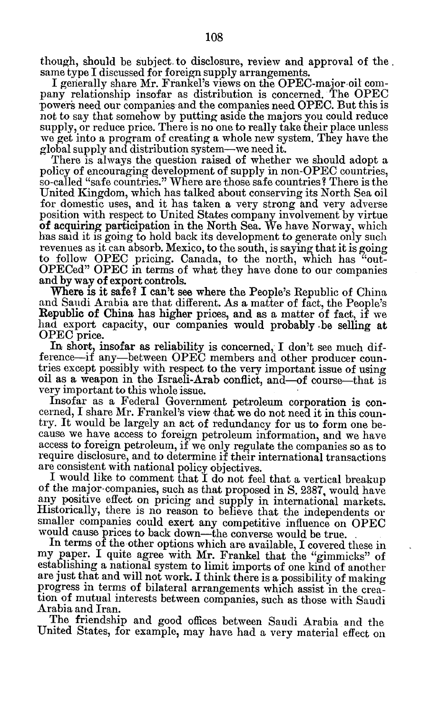though, should be subject. to disclosure, review and approval of the. same type **I** discussed for foreign supply arrangements.

I generally share Mr. Frankel's views on the OPEC-major-oil company relationship insofar as distribution is concerned. The **OPEC** powers need our companies and the companies need **OPEC.** But this is not to say that somehow **by** putting aside the majors you could reduce supply, or reduce price. There is no one to really take their place unless we get into a program of creating a whole new system. They have the global supply and distribution system-we need it.

There is always the question raised of whether we should adopt a policy of encouraging development of supply in non-OPEC countries, so-called "safe countries." Where are those safe countries? There is the United Kingdom, which has talked about conserving its North Sea oil for domestic uses, and it has taken a very strong and very adverse position with respect to United States company involvement **by** virtue of acquiring participation in the North Sea. We have Norway, which has said it is going to hold back its development to generate only such revenues as it can absorb. Mexico, to the south, is saying that it is going to follow **OPEC** pricing. Canada, to the north, which has "out-OPECed" **OPEC** in terms of what they have done to our companies and **by** way of export controls.

Where is it safe? **I** can't see where the People's Republic of China and Saudi Arabia are that different. As a matter of fact, the People's Republic of China has higher prices, and as a matter of fact, if we had export capacity, our companies would probably .be selling at **OPEC** price.

In short, insofar as reliability is concerned, I don't see much difference-if any-between **OPEC** members and other producer countries except possibly with respect to the very important issue of using oil as a weapon in the Israeli-Arab conflict, and-of course-that is very important to this whole issue.

Insofar as a Federal Government petroleum corporation is concerned, I share Mr. Frankel's view that we do not need it in this country. It would be largely an act of redundancy for us to form one because we have access to foreign petroleum information, and we have access to foreign petroleum, if we only regulate the companies so as to require disclosure, and to determine if their international transactions are consistent with national policy objectives.

I would like to comment that I do not feel that a vertical breakup of the major- companies, such as that proposed in **S. 2387,** would have any positive effect on pricing and supply in international markets. Historically, there is no reason to believe that the independents or smaller companies could exert any competitive influence on **OPEC** would cause prices to back down—the converse would be true.

In terms of the other options which are available, I covered these in my paper. I quite agree with Mr. Frankel that the "gimmicks" of establishing a national system to limit imports of one kind of another are just that and will not work. I think there is a possibility of making progress in terms of bilateral arrangements which assist in the creation of mutual interests between companies, such as those with Saudi Arabia and Iran.

The friendship and good offices between Saudi Arabia and the United States, for example, may have had a very material effect on